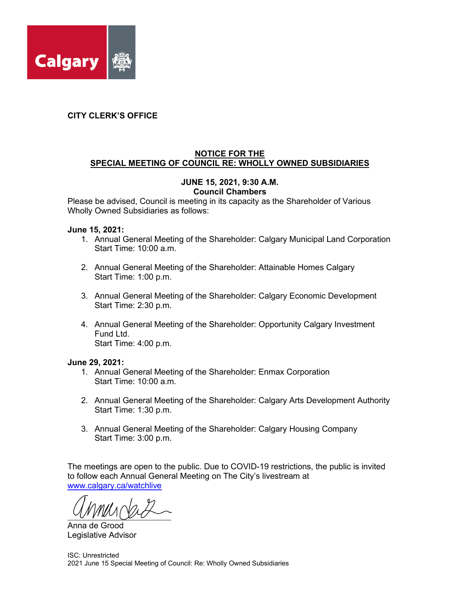

# **CITY CLERK'S OFFICE**

# **NOTICE FOR THE SPECIAL MEETING OF COUNCIL RE: WHOLLY OWNED SUBSIDIARIES**

## **JUNE 15, 2021, 9:30 A.M. Council Chambers**

Please be advised, Council is meeting in its capacity as the Shareholder of Various Wholly Owned Subsidiaries as follows:

### **June 15, 2021:**

- 1. Annual General Meeting of the Shareholder: Calgary Municipal Land Corporation Start Time: 10:00 a.m.
- 2. Annual General Meeting of the Shareholder: Attainable Homes Calgary Start Time: 1:00 p.m.
- 3. Annual General Meeting of the Shareholder: Calgary Economic Development Start Time: 2:30 p.m.
- 4. Annual General Meeting of the Shareholder: Opportunity Calgary Investment Fund Ltd. Start Time: 4:00 p.m.

### **June 29, 2021:**

- 1. Annual General Meeting of the Shareholder: Enmax Corporation Start Time: 10:00 a.m.
- 2. Annual General Meeting of the Shareholder: Calgary Arts Development Authority Start Time: 1:30 p.m.
- 3. Annual General Meeting of the Shareholder: Calgary Housing Company Start Time: 3:00 p.m.

The meetings are open to the public. Due to COVID-19 restrictions, the public is invited to follow each Annual General Meeting on The City's livestream at [www.calgary.ca/watchlive](http://www.calgary.ca/watchlive)

 $\sim$ 

Anna de Grood Legislative Advisor